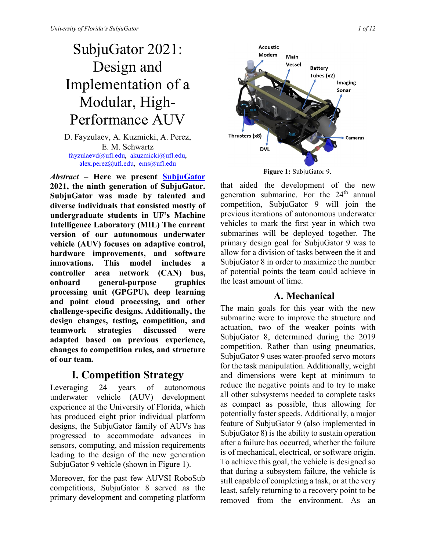# SubjuGator 2021: Design and Implementation of a Modular, High-Performance AUV

D. Fayzulaev, A. Kuzmicki, A. Perez, E. M. Schwartz [fayzulaevd@ufl.edu,](mailto:fayzulaevd@ufl.edu) [akuzmicki@ufl.edu,](mailto:akuzmicki@ufl.edu) [alex.perez@ufl.edu,](mailto:alex.perez@ufl.edu) [ems@ufl.edu](mailto:ems@ufl.edu)

*Abstract* **– Here we present [SubjuGator](http://subjugator.org/) 2021, the ninth generation of SubjuGator. SubjuGator was made by talented and diverse individuals that consisted mostly of undergraduate students in UF's Machine Intelligence Laboratory (MIL) The current version of our autonomous underwater vehicle (AUV) focuses on adaptive control, hardware improvements, and software innovations. This model includes a controller area network (CAN) bus, onboard general-purpose graphics processing unit (GPGPU), deep learning and point cloud processing, and other challenge-specific designs. Additionally, the design changes, testing, competition, and teamwork strategies discussed were adapted based on previous experience, changes to competition rules, and structure of our team.**

# **I. Competition Strategy**

Leveraging 24 years of autonomous underwater vehicle (AUV) development experience at the University of Florida, which has produced eight prior individual platform designs, the SubjuGator family of AUVs has progressed to accommodate advances in sensors, computing, and mission requirements leading to the design of the new generation SubjuGator 9 vehicle (shown in Figure 1).

Moreover, for the past few AUVSI RoboSub competitions, SubjuGator 8 served as the primary development and competing platform



**Figure 1:** SubjuGator 9.

that aided the development of the new generation submarine. For the  $24<sup>th</sup>$  annual competition, SubjuGator 9 will join the previous iterations of autonomous underwater vehicles to mark the first year in which two submarines will be deployed together. The primary design goal for SubjuGator 9 was to allow for a division of tasks between the it and SubjuGator 8 in order to maximize the number of potential points the team could achieve in the least amount of time.

## **A. Mechanical**

The main goals for this year with the new submarine were to improve the structure and actuation, two of the weaker points with SubjuGator 8, determined during the 2019 competition. Rather than using pneumatics, SubjuGator 9 uses water-proofed servo motors for the task manipulation. Additionally, weight and dimensions were kept at minimum to reduce the negative points and to try to make all other subsystems needed to complete tasks as compact as possible, thus allowing for potentially faster speeds. Additionally, a major feature of SubjuGator 9 (also implemented in SubjuGator 8) is the ability to sustain operation after a failure has occurred, whether the failure is of mechanical, electrical, or software origin. To achieve this goal, the vehicle is designed so that during a subsystem failure, the vehicle is still capable of completing a task, or at the very least, safely returning to a recovery point to be removed from the environment. As an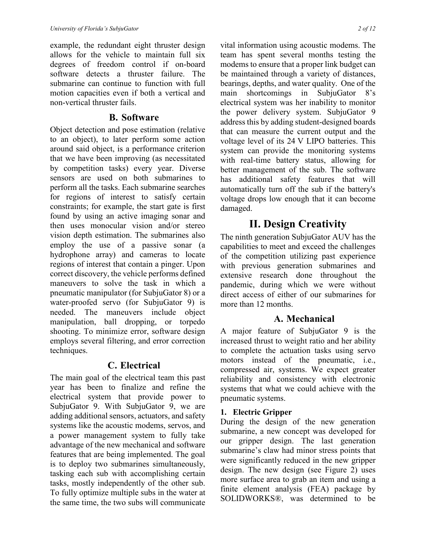example, the redundant eight thruster design allows for the vehicle to maintain full six degrees of freedom control if on-board software detects a thruster failure. The submarine can continue to function with full motion capacities even if both a vertical and non-vertical thruster fails.

#### **B. Software**

Object detection and pose estimation (relative to an object), to later perform some action around said object, is a performance criterion that we have been improving (as necessitated by competition tasks) every year. Diverse sensors are used on both submarines to perform all the tasks. Each submarine searches for regions of interest to satisfy certain constraints; for example, the start gate is first found by using an active imaging sonar and then uses monocular vision and/or stereo vision depth estimation. The submarines also employ the use of a passive sonar (a hydrophone array) and cameras to locate regions of interest that contain a pinger. Upon correct discovery, the vehicle performs defined maneuvers to solve the task in which a pneumatic manipulator (for SubjuGator 8) or a water-proofed servo (for SubjuGator 9) is needed. The maneuvers include object manipulation, ball dropping, or torpedo shooting. To minimize error, software design employs several filtering, and error correction techniques.

## **C. Electrical**

The main goal of the electrical team this past year has been to finalize and refine the electrical system that provide power to SubjuGator 9. With SubjuGator 9, we are adding additional sensors, actuators, and safety systems like the acoustic modems, servos, and a power management system to fully take advantage of the new mechanical and software features that are being implemented. The goal is to deploy two submarines simultaneously, tasking each sub with accomplishing certain tasks, mostly independently of the other sub. To fully optimize multiple subs in the water at the same time, the two subs will communicate vital information using acoustic modems. The team has spent several months testing the modems to ensure that a proper link budget can be maintained through a variety of distances, bearings, depths, and water quality. One of the main shortcomings in SubjuGator 8's electrical system was her inability to monitor the power delivery system. SubjuGator 9 address this by adding student-designed boards that can measure the current output and the voltage level of its 24 V LIPO batteries. This system can provide the monitoring systems with real-time battery status, allowing for better management of the sub. The software has additional safety features that will automatically turn off the sub if the battery's voltage drops low enough that it can become

## **II. Design Creativity**

The ninth generation SubjuGator AUV has the capabilities to meet and exceed the challenges of the competition utilizing past experience with previous generation submarines and extensive research done throughout the pandemic, during which we were without direct access of either of our submarines for more than 12 months.

## **A. Mechanical**

A major feature of SubjuGator 9 is the increased thrust to weight ratio and her ability to complete the actuation tasks using servo motors instead of the pneumatic, i.e., compressed air, systems. We expect greater reliability and consistency with electronic systems that what we could achieve with the pneumatic systems.

#### **1. Electric Gripper**

damaged.

During the design of the new generation submarine, a new concept was developed for our gripper design. The last generation submarine's claw had minor stress points that were significantly reduced in the new gripper design. The new design (see Figure 2) uses more surface area to grab an item and using a finite element analysis (FEA) package by SOLIDWORKS®, was determined to be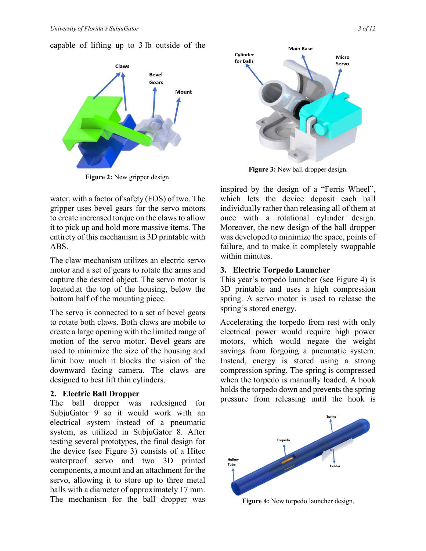capable of lifting up to 3 lb outside of the



**Figure 2:** New gripper design.

water, with a factor of safety (FOS) of two. The gripper uses bevel gears for the servo motors to create increased torque on the claws to allow it to pick up and hold more massive items. The entirety of this mechanism is 3D printable with ABS.

The claw mechanism utilizes an electric servo motor and a set of gears to rotate the arms and capture the desired object. The servo motor is located.at the top of the housing, below the bottom half of the mounting piece.

The servo is connected to a set of bevel gears to rotate both claws. Both claws are mobile to create a large opening with the limited range of motion of the servo motor. Bevel gears are used to minimize the size of the housing and limit how much it blocks the vision of the downward facing camera. The claws are designed to best lift thin cylinders.

#### **2. Electric Ball Dropper**

The ball dropper was redesigned for SubjuGator 9 so it would work with an electrical system instead of a pneumatic system, as utilized in SubjuGator 8. After testing several prototypes, the final design for the device (see Figure 3) consists of a Hitec waterproof servo and two 3D printed components, a mount and an attachment for the servo, allowing it to store up to three metal balls with a diameter of approximately 17 mm. The mechanism for the ball dropper was



**Figure 3:** New ball dropper design.

inspired by the design of a "Ferris Wheel", which lets the device deposit each ball individually rather than releasing all of them at once with a rotational cylinder design. Moreover, the new design of the ball dropper was developed to minimize the space, points of failure, and to make it completely swappable within minutes.

#### **3. Electric Torpedo Launcher**

This year's torpedo launcher (see Figure 4) is 3D printable and uses a high compression spring. A servo motor is used to release the spring's stored energy.

Accelerating the torpedo from rest with only electrical power would require high power motors, which would negate the weight savings from forgoing a pneumatic system. Instead, energy is stored using a strong compression spring. The spring is compressed when the torpedo is manually loaded. A hook holds the torpedo down and prevents the spring pressure from releasing until the hook is



**Figure 4:** New torpedo launcher design.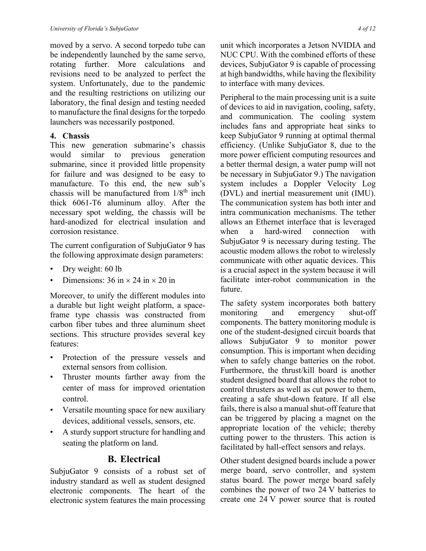moved by a servo. A second torpedo tube can be independently launched by the same servo, rotating further. More calculations and revisions need to be analyzed to perfect the system. Unfortunately, due to the pandemic and the resulting restrictions on utilizing our laboratory, the final design and testing needed to manufacture the final designs for the torpedo launchers was necessarily postponed.

#### **4. Chassis**

This new generation submarine's chassis would similar to previous generation submarine, since it provided little propensity for failure and was designed to be easy to manufacture. To this end, the new sub's chassis will be manufactured from  $1/8^{th}$  inch thick 6061-T6 aluminum alloy. After the necessary spot welding, the chassis will be hard-anodized for electrical insulation and corrosion resistance.

The current configuration of SubjuGator 9 has the following approximate design parameters:

- Dry weight: 60 lb
- Dimensions:  $36 \text{ in} \times 24 \text{ in} \times 20 \text{ in}$

Moreover, to unify the different modules into a durable but light weight platform, a spaceframe type chassis was constructed from carbon fiber tubes and three aluminum sheet sections. This structure provides several key features:

- Protection of the pressure vessels and external sensors from collision.
- Thruster mounts farther away from the center of mass for improved orientation control.
- Versatile mounting space for new auxiliary devices, additional vessels, sensors, etc.
- A sturdy support structure for handling and seating the platform on land.

#### **B. Electrical**

SubjuGator 9 consists of a robust set of industry standard as well as student designed electronic components. The heart of the electronic system features the main processing unit which incorporates a Jetson NVIDIA and NUC CPU. With the combined efforts of these devices, SubjuGator 9 is capable of processing at high bandwidths, while having the flexibility to interface with many devices.

Peripheral to the main processing unit is a suite of devices to aid in navigation, cooling, safety, and communication. The cooling system includes fans and appropriate heat sinks to keep SubjuGator 9 running at optimal thermal efficiency. (Unlike SubjuGator 8, due to the more power efficient computing resources and a better thermal design, a water pump will not be necessary in SubjuGator 9.) The navigation system includes a Doppler Velocity Log (DVL) and inertial measurement unit (IMU). The communication system has both inter and intra communication mechanisms. The tether allows an Ethernet interface that is leveraged when a hard-wired connection with SubjuGator 9 is necessary during testing. The acoustic modem allows the robot to wirelessly communicate with other aquatic devices. This is a crucial aspect in the system because it will facilitate inter-robot communication in the future.

The safety system incorporates both battery monitoring and emergency shut-off components. The battery monitoring module is one of the student-designed circuit boards that allows SubjuGator 9 to monitor power consumption. This is important when deciding when to safely change batteries on the robot. Furthermore, the thrust/kill board is another student designed board that allows the robot to control thrusters as well as cut power to them, creating a safe shut-down feature. If all else fails, there is also a manual shut-off feature that can be triggered by placing a magnet on the appropriate location of the vehicle; thereby cutting power to the thrusters. This action is facilitated by hall-effect sensors and relays.

Other student designed boards include a power merge board, servo controller, and system status board. The power merge board safely combines the power of two 24 V batteries to create one 24 V power source that is routed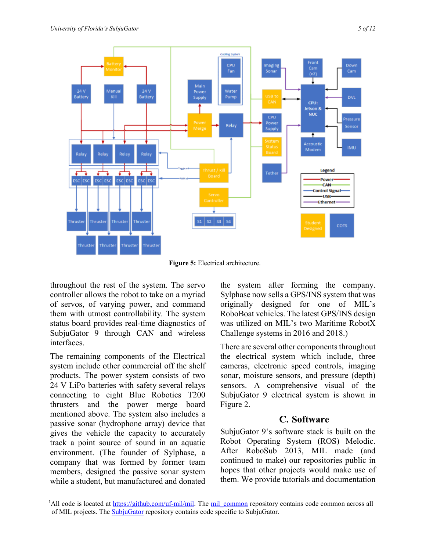

**Figure 5:** Electrical architecture.

throughout the rest of the system. The servo controller allows the robot to take on a myriad of servos, of varying power, and command them with utmost controllability. The system status board provides real-time diagnostics of SubjuGator 9 through CAN and wireless interfaces.

The remaining components of the Electrical system include other commercial off the shelf products. The power system consists of two 24 V LiPo batteries with safety several relays connecting to eight Blue Robotics T200 thrusters and the power merge board mentioned above. The system also includes a passive sonar (hydrophone array) device that gives the vehicle the capacity to accurately track a point source of sound in an aquatic environment. (The founder of Sylphase, a company that was formed by former team members, designed the passive sonar system while a student, but manufactured and donated

the system after forming the company. Sylphase now sells a GPS/INS system that was originally designed for one of MIL's RoboBoat vehicles. The latest GPS/INS design was utilized on MIL's two Maritime RobotX Challenge systems in 2016 and 2018.)

There are several other components throughout the electrical system which include, three cameras, electronic speed controls, imaging sonar, moisture sensors, and pressure (depth) sensors. A comprehensive visual of the SubjuGator 9 electrical system is shown in Figure 2.

#### **C. Software**

SubjuGator 9's software stack is built on the Robot Operating System (ROS) Melodic. After RoboSub 2013, MIL made (and continued to make) our repositories public in hopes that other projects would make use of them. We provide tutorials and documentation

<sup>&</sup>lt;sup>1</sup>All code is located at [https://github.com/uf-mil/mil.](https://github.com/uf-mil/mil) The mil\_common repository contains code common across all of MIL projects. The **SubjuGator** repository contains code specific to SubjuGator.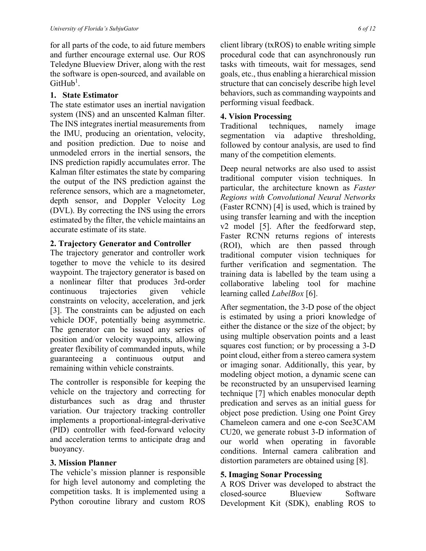for all parts of the code, to aid future members and further encourage external use. Our ROS Teledyne Blueview Driver, along with the rest the software is open-sourced, and available on  $G$ it $H$ ub<sup>1</sup>.

#### **1. State Estimator**

The state estimator uses an inertial navigation system (INS) and an unscented Kalman filter. The INS integrates inertial measurements from the IMU, producing an orientation, velocity, and position prediction. Due to noise and unmodeled errors in the inertial sensors, the INS prediction rapidly accumulates error. The Kalman filter estimates the state by comparing the output of the INS prediction against the reference sensors, which are a magnetometer, depth sensor, and Doppler Velocity Log (DVL). By correcting the INS using the errors estimated by the filter, the vehicle maintains an accurate estimate of its state.

#### **2. Trajectory Generator and Controller**

The trajectory generator and controller work together to move the vehicle to its desired waypoint. The trajectory generator is based on a nonlinear filter that produces 3rd-order continuous trajectories given vehicle constraints on velocity, acceleration, and jerk [3]. The constraints can be adjusted on each vehicle DOF, potentially being asymmetric. The generator can be issued any series of position and/or velocity waypoints, allowing greater flexibility of commanded inputs, while guaranteeing a continuous output and remaining within vehicle constraints.

The controller is responsible for keeping the vehicle on the trajectory and correcting for disturbances such as drag and thruster variation. Our trajectory tracking controller implements a proportional-integral-derivative (PID) controller with feed-forward velocity and acceleration terms to anticipate drag and buoyancy.

#### **3. Mission Planner**

The vehicle's mission planner is responsible for high level autonomy and completing the competition tasks. It is implemented using a Python coroutine library and custom ROS client library (txROS) to enable writing simple procedural code that can asynchronously run tasks with timeouts, wait for messages, send goals, etc., thus enabling a hierarchical mission structure that can concisely describe high level behaviors, such as commanding waypoints and performing visual feedback.

#### **4. Vision Processing**

Traditional techniques, namely image segmentation via adaptive thresholding, followed by contour analysis, are used to find many of the competition elements.

Deep neural networks are also used to assist traditional computer vision techniques. In particular, the architecture known as *Faster Regions with Convolutional Neural Networks* (Faster RCNN) [4] is used, which is trained by using transfer learning and with the inception v2 model [5]. After the feedforward step, Faster RCNN returns regions of interests (ROI), which are then passed through traditional computer vision techniques for further verification and segmentation. The training data is labelled by the team using a collaborative labeling tool for machine learning called *LabelBox* [6].

After segmentation, the 3-D pose of the object is estimated by using a priori knowledge of either the distance or the size of the object; by using multiple observation points and a least squares cost function; or by processing a 3-D point cloud, either from a stereo camera system or imaging sonar. Additionally, this year, by modeling object motion, a dynamic scene can be reconstructed by an unsupervised learning technique [7] which enables monocular depth predication and serves as an initial guess for object pose prediction. Using one Point Grey Chameleon camera and one e-con See3CAM CU20, we generate robust 3-D information of our world when operating in favorable conditions. Internal camera calibration and distortion parameters are obtained using [8].

#### **5. Imaging Sonar Processing**

A ROS Driver was developed to abstract the closed-source Blueview Software Development Kit (SDK), enabling ROS to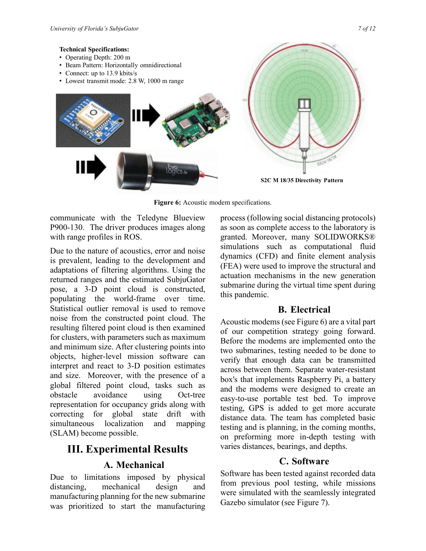#### **Technical Specifications:**

- Operating Depth: 200 m
- Beam Pattern: Horizontally omnidirectional
- Connect: up to 13.9 kbits/s



Figure 6: Acoustic modem specifications.

communicate with the Teledyne Blueview P900-130. The driver produces images along with range profiles in ROS.

Due to the nature of acoustics, error and noise is prevalent, leading to the development and adaptations of filtering algorithms. Using the returned ranges and the estimated SubjuGator pose, a 3-D point cloud is constructed, populating the world-frame over time. Statistical outlier removal is used to remove noise from the constructed point cloud. The resulting filtered point cloud is then examined for clusters, with parameters such as maximum and minimum size. After clustering points into objects, higher-level mission software can interpret and react to 3-D position estimates and size. Moreover, with the presence of a global filtered point cloud, tasks such as obstacle avoidance using Oct-tree representation for occupancy grids along with correcting for global state drift with simultaneous localization and mapping (SLAM) become possible.

# **III. Experimental Results**

#### **A. Mechanical**

Due to limitations imposed by physical distancing, mechanical design and manufacturing planning for the new submarine was prioritized to start the manufacturing process (following social distancing protocols) as soon as complete access to the laboratory is granted. Moreover, many SOLIDWORKS® simulations such as computational fluid dynamics (CFD) and finite element analysis (FEA) were used to improve the structural and actuation mechanisms in the new generation submarine during the virtual time spent during this pandemic.

#### **B. Electrical**

Acoustic modems (see Figure 6) are a vital part of our competition strategy going forward. Before the modems are implemented onto the two submarines, testing needed to be done to verify that enough data can be transmitted across between them. Separate water-resistant box's that implements Raspberry Pi, a battery and the modems were designed to create an easy-to-use portable test bed. To improve testing, GPS is added to get more accurate distance data. The team has completed basic testing and is planning, in the coming months, on preforming more in-depth testing with varies distances, bearings, and depths.

#### **C. Software**

Software has been tested against recorded data from previous pool testing, while missions were simulated with the seamlessly integrated Gazebo simulator (see Figure 7).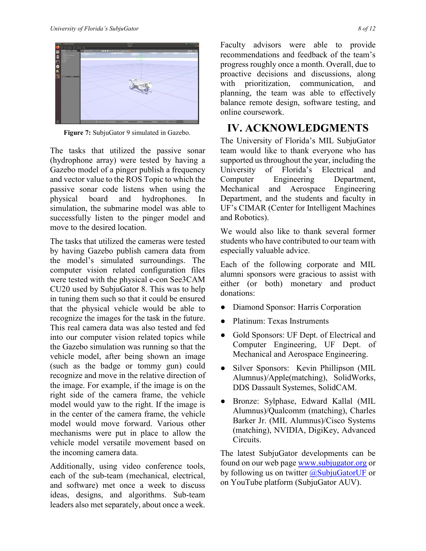

**Figure 7:** SubjuGator 9 simulated in Gazebo.

The tasks that utilized the passive sonar (hydrophone array) were tested by having a Gazebo model of a pinger publish a frequency and vector value to the ROS Topic to which the passive sonar code listens when using the physical board and hydrophones. In simulation, the submarine model was able to successfully listen to the pinger model and move to the desired location.

The tasks that utilized the cameras were tested by having Gazebo publish camera data from the model's simulated surroundings. The computer vision related configuration files were tested with the physical e-con See3CAM CU20 used by SubjuGator 8. This was to help in tuning them such so that it could be ensured that the physical vehicle would be able to recognize the images for the task in the future. This real camera data was also tested and fed into our computer vision related topics while the Gazebo simulation was running so that the vehicle model, after being shown an image (such as the badge or tommy gun) could recognize and move in the relative direction of the image. For example, if the image is on the right side of the camera frame, the vehicle model would yaw to the right. If the image is in the center of the camera frame, the vehicle model would move forward. Various other mechanisms were put in place to allow the vehicle model versatile movement based on the incoming camera data.

Additionally, using video conference tools, each of the sub-team (mechanical, electrical, and software) met once a week to discuss ideas, designs, and algorithms. Sub-team leaders also met separately, about once a week.

Faculty advisors were able to provide recommendations and feedback of the team's progress roughly once a month. Overall, due to proactive decisions and discussions, along with prioritization, communication, and planning, the team was able to effectively balance remote design, software testing, and online coursework.

# **IV. ACKNOWLEDGMENTS**

The University of Florida's MIL SubjuGator team would like to thank everyone who has supported us throughout the year, including the University of Florida's Electrical and Computer Engineering Department, Mechanical and Aerospace Engineering Department, and the students and faculty in UF's CIMAR (Center for Intelligent Machines and Robotics).

We would also like to thank several former students who have contributed to our team with especially valuable advice.

Each of the following corporate and MIL alumni sponsors were gracious to assist with either (or both) monetary and product donations:

- Diamond Sponsor: Harris Corporation
- Platinum: Texas Instruments
- Gold Sponsors: UF Dept. of Electrical and Computer Engineering, UF Dept. of Mechanical and Aerospace Engineering.
- Silver Sponsors: Kevin Phillipson (MIL Alumnus)/Apple(matching), SolidWorks, DDS Dassault Systemes, SolidCAM.
- Bronze: Sylphase, Edward Kallal (MIL Alumnus)/Qualcomm (matching), Charles Barker Jr. (MIL Alumnus)/Cisco Systems (matching), NVIDIA, DigiKey, Advanced Circuits.

The latest SubjuGator developments can be found on our web page [www.subjugator.org](http://www.subjugator.org/) or by following us on twitter  $\omega$ SubjuGatorUF or on YouTube platform (SubjuGator AUV).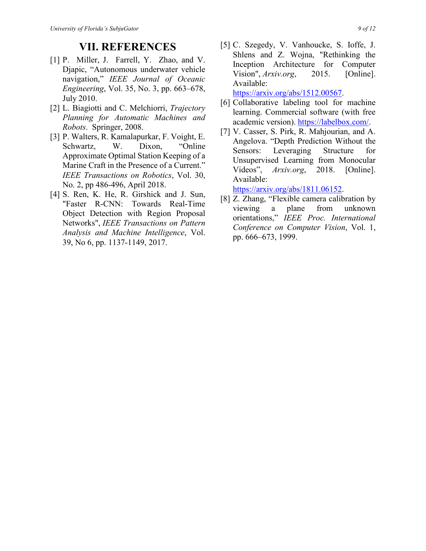### **VII. REFERENCES**

- [1] P. Miller, J. Farrell, Y. Zhao, and V. Djapic, "Autonomous underwater vehicle navigation," *IEEE Journal of Oceanic Engineering*, Vol. 35, No. 3, pp. 663–678, July 2010.
- [2] L. Biagiotti and C. Melchiorri, *Trajectory Planning for Automatic Machines and Robots*. Springer, 2008.
- [3] P. Walters, R. Kamalapurkar, F. Voight, E. Schwartz, W. Dixon, "Online Approximate Optimal Station Keeping of a Marine Craft in the Presence of a Current." *IEEE Transactions on Robotics*, Vol. 30, No. 2, pp 486-496, April 2018.
- [4] S. Ren, K. He, R. Girshick and J. Sun, "Faster R-CNN: Towards Real-Time Object Detection with Region Proposal Networks", *IEEE Transactions on Pattern Analysis and Machine Intelligence*, Vol. 39, No 6, pp. 1137-1149, 2017.
- [5] C. Szegedy, V. Vanhoucke, S. Ioffe, J. Shlens and Z. Wojna, "Rethinking the Inception Architecture for Computer Vision", *Arxiv.org*, 2015. [Online]. Available: [https://arxiv.org/abs/1512.00567.](https://arxiv.org/abs/1512.00567)
- [6] Collaborative labeling tool for machine learning. Commercial software (with free academic version). [https://labelbox.com/.](https://labelbox.com/)
- [7] V. Casser, S. Pirk, R. Mahjourian, and A. Angelova. "Depth Prediction Without the Sensors: Leveraging Structure for Unsupervised Learning from Monocular Videos", *Arxiv.org*, 2018. [Online]. Available:

[https://arxiv.org/abs/1811.06152.](https://arxiv.org/abs/1811.06152)

[8] Z. Zhang, "Flexible camera calibration by viewing a plane from unknown orientations," *IEEE Proc. International Conference on Computer Vision*, Vol. 1, pp. 666–673, 1999.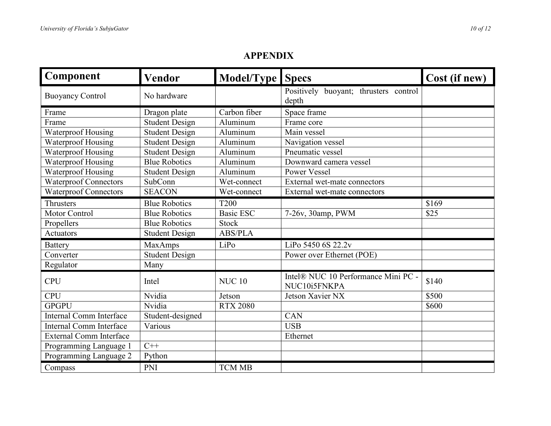| Component                      | Vendor                | Model/Type Specs |                                                     | Cost (if new) |
|--------------------------------|-----------------------|------------------|-----------------------------------------------------|---------------|
| <b>Buoyancy Control</b>        | No hardware           |                  | Positively<br>buoyant; thrusters control<br>depth   |               |
| Frame                          | Dragon plate          | Carbon fiber     | Space frame                                         |               |
| Frame                          | <b>Student Design</b> | Aluminum         | Frame core                                          |               |
| <b>Waterproof Housing</b>      | <b>Student Design</b> | Aluminum         | Main vessel                                         |               |
| Waterproof Housing             | <b>Student Design</b> | Aluminum         | Navigation vessel                                   |               |
| <b>Waterproof Housing</b>      | <b>Student Design</b> | Aluminum         | Pneumatic vessel                                    |               |
| Waterproof Housing             | <b>Blue Robotics</b>  | Aluminum         | Downward camera vessel                              |               |
| Waterproof Housing             | <b>Student Design</b> | Aluminum         | Power Vessel                                        |               |
| <b>Waterproof Connectors</b>   | SubConn               | Wet-connect      | External wet-mate connectors                        |               |
| <b>Waterproof Connectors</b>   | <b>SEACON</b>         | Wet-connect      | External wet-mate connectors                        |               |
| Thrusters                      | <b>Blue Robotics</b>  | <b>T200</b>      |                                                     | \$169         |
| Motor Control                  | <b>Blue Robotics</b>  | <b>Basic ESC</b> | 7-26v, 30amp, PWM                                   | \$25          |
| Propellers                     | <b>Blue Robotics</b>  | <b>Stock</b>     |                                                     |               |
| Actuators                      | <b>Student Design</b> | <b>ABS/PLA</b>   |                                                     |               |
| <b>Battery</b>                 | <b>MaxAmps</b>        | LiPo             | LiPo 5450 6S 22.2v                                  |               |
| Converter                      | <b>Student Design</b> |                  | Power over Ethernet (POE)                           |               |
| Regulator                      | Many                  |                  |                                                     |               |
| <b>CPU</b>                     | Intel                 | <b>NUC 10</b>    | Intel® NUC 10 Performance Mini PC -<br>NUC10i5FNKPA | \$140         |
| <b>CPU</b>                     | Nvidia                | Jetson           | Jetson Xavier NX                                    | \$500         |
| <b>GPGPU</b>                   | Nvidia                | <b>RTX 2080</b>  |                                                     | \$600         |
| <b>Internal Comm Interface</b> | Student-designed      |                  | $\overline{\text{CAN}}$                             |               |
| <b>Internal Comm Interface</b> | Various               |                  | <b>USB</b>                                          |               |
| <b>External Comm Interface</b> |                       |                  | Ethernet                                            |               |
| Programming Language 1         | $C++$                 |                  |                                                     |               |
| Programming Language 2         | Python                |                  |                                                     |               |
| Compass                        | <b>PNI</b>            | <b>TCM MB</b>    |                                                     |               |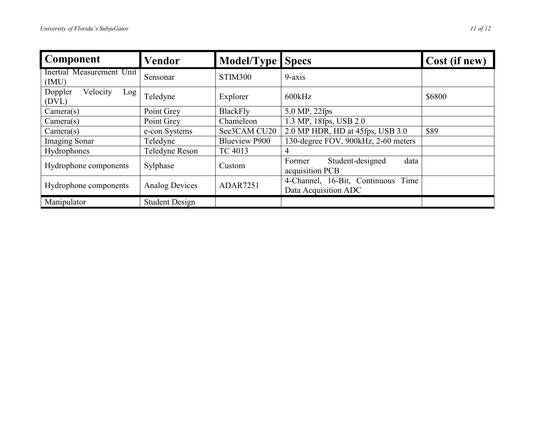| Component                           | Vendor                | Model/Type Specs     |                                                            | Cost (if new) |
|-------------------------------------|-----------------------|----------------------|------------------------------------------------------------|---------------|
| Inertial Measurement Unit<br>(IMU)  | Sensonar              | STIM300              | $9-axis$                                                   |               |
| Velocity<br>Doppler<br>Log<br>(DVL) | Teledyne              | Explorer             | 600kHz                                                     | \$6800        |
| Camera(s)                           | Point Grey            | <b>BlackFly</b>      | 5.0 MP, 22fps                                              |               |
| Camera(s)                           | Point Grey            | Chameleon            | 1.3 MP, 18fps, USB 2.0                                     |               |
| Camera(s)                           | e-con Systems         | See3CAM CU20         | 2.0 MP HDR, HD at 45fps, USB 3.0                           | \$89          |
| <b>Imaging Sonar</b>                | Teledyne              | <b>Blueview P900</b> | 130-degree FOV, 900kHz, 2-60 meters                        |               |
| Hydrophones                         | Teledyne Reson        | TC 4013              | 4                                                          |               |
| Hydrophone components               | Sylphase              | Custom               | Student-designed<br>Former<br>data<br>acquisition PCB      |               |
| Hydrophone components               | <b>Analog Devices</b> | <b>ADAR7251</b>      | 4-Channel, 16-Bit, Continuous Time<br>Data Acquisition ADC |               |
| Manipulator                         | <b>Student Design</b> |                      |                                                            |               |